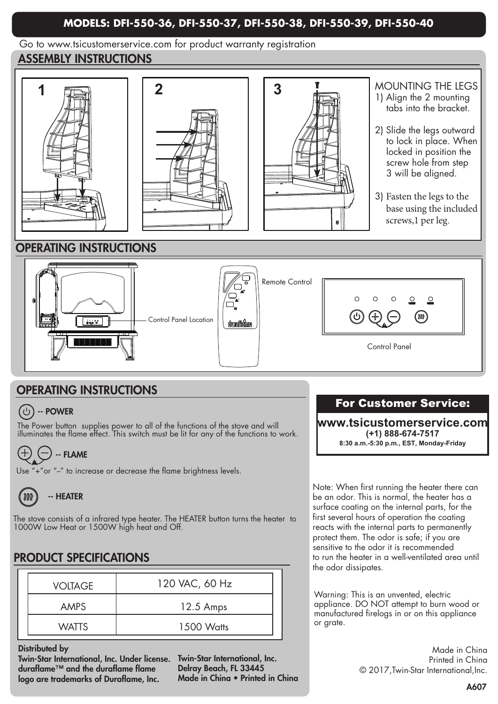## **MODELS: DFI-550-36, DFI-550-37, DFI-550-38, DFI-550-39, DFI-550-40**

Go to www.tsicustomerservice.com for product warranty registration

## ASSEMBLY INSTRUCTIONS



dualkin

## OPERATING INSTRUCTIONS

 $\overrightarrow{•}$ 

#### (ပ) -- POWER

The Power button supplies power to all of the functions of the stove and will illuminates the flame effect. This switch must be lit for any of the functions to work.

# -- FLAME

+"or "-" to increase or decrease the flame brightness levels.

-- HEATER 222

The stove consists of a infrared type heater. The HEATER button turns the heater to 1000W Low Heat or 1500W high heat and Off.

# PRODUCT SPECIFICATIONS

| <b>VOLTAGE</b> | 120 VAC, 60 Hz |
|----------------|----------------|
| <b>AMPS</b>    | 12.5 Amps      |
| <b>WATTS</b>   | 1500 Watts     |

### Distributed by

Twin-Star International, Inc. Under license. duraflame™ and the duraflame flame logo are trademarks of Duraflame, Inc.

Twin-Star International, Inc. Delray Beach, FL 33445 Made in China • Printed in China

## For Customer Service:

Control Panel

**www.tsicustomerservice.com (+1) 888-674-7517 8:30 a.m.-5:30 p.m., EST, Monday-Friday**

Note: When first running the heater there can be an odor. This is normal, the heater has a surface coating on the internal parts, for the first several hours of operation the coating reacts with the internal parts to permanently protect them. The odor is safe; if you are sensitive to the odor it is recommended to run the heater in a well-ventilated area until the odor dissipates.

Warning: This is an unvented, electric appliance. DO NOT attempt to burn wood or manufactured firelogs in or on this appliance or grate.

> Made in China Printed in China © 2017,Twin-Star International,Inc.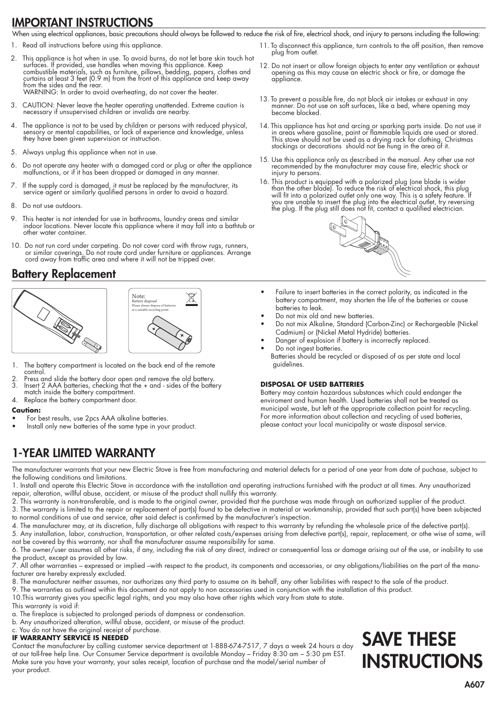## IMPORTANT INSTRUCTIONS

When using electrical appliances, basic precautions should always be followed to reduce the risk of fire, electrical shock, and injury to persons including the following:

- 1. Read all instructions before using this appliance.
- 2. This appliance is hot when in use. To avoid burns, do not let bare skin touch hot surfaces. If provided, use handles when moving this appliance. Keep combustible materials, such as furniture, pillows, bedding, papers, clothes and curtains at least 3 feet (0.9 m) from the front of this appliance and keep away from the sides and the rear. WARNING: In order to avoid overheating, do not cover the heater.
- 3. CAUTION: Never leave the heater operating unattended. Extreme caution is necessary if unsupervised children or invalids are nearby.
- 4. The appliance is not to be used by children or persons with reduced physical, sensory or mental capabilities, or lack of experience and knowledge, unless they have been given supervision or instruction.
- 5. Always unplug this appliance when not in use.
- 6. Do not operate any heater with a damaged cord or plug or after the appliance malfunctions, or if it has been dropped or damaged in any manner.
- If the supply cord is damaged, it must be replaced by the manufacturer, its service agent or similarly qualified persons in order to avoid a hazard.
- 8. Do not use outdoors.
- 9. This heater is not intended for use in bathrooms, laundry areas and similar indoor locations. Never locate this appliance where it may fall into a bathtub or other water container.
- 10. Do not run cord under carpeting. Do not cover cord with throw rugs, runners, or similar coverings. Do not route cord under furniture or appliances. Arrange cord away from traffic area and where it will not be tripped over.

## Battery Replacement





- The battery compartment is located on the back end of the remote **control**
- 2. Press and slide the battery door open and remove the old battery.<br>3. Insert 2 AAA batteries, checking that the + and sides of the batte 3. Insert 2 AAA batteries, checking that the + and - sides of the battery
- match inside the battery compartment. 4. Replace the battery compartment door.

#### **Caution:**

- For best results, use 2pcs AAA alkaline batteries.
- Install only new batteries of the same type in your product.
- 11. To disconnect this appliance, turn controls to the off position, then remove plug from outlet.
- 12. Do not insert or allow foreign objects to enter any ventilation or exhaust opening as this may cause an electric shock or fire, or damage the appliance.
- 13. To prevent a possible fire, do not block air intakes or exhaust in any manner. Do not use on soft surfaces, like a bed, where opening may become blocked.
- 14. This appliance has hot and arcing or sparking parts inside. Do not use it in areas where gasoline, paint or flammable liquids are used or stored. This stove should not be used as a drying rack for clothing. Christmas stockings or decorations should not be hung in the area of it.
- 15. Use this appliance only as described in the manual. Any other use not recommended by the manufacturer may cause fire, electric shock or injury to persons
- 16. This product is equipped with a polarized plug (one blade is wider than the other blade). To reduce the risk of electrical shock, this plug will fit into a polarized outlet only one way. This is a safety feature. If you are unable to insert the plug into the electrical outlet, try reversing the plug. If the plug still does not fit, contact a qualified electrician.



- Failure to insert batteries in the correct polarity, as indicated in the battery compartment, may shorten the life of the batteries or cause batteries to leak.
- Do not mix old and new batteries.
- Do not mix Alkaline, Standard (Carbon-Zinc) or Rechargeable (Nickel Cadmium) or (Nickel Metal Hydride) batteries.
- Danger of explosion if battery is incorrectly replaced.
- Do not ingest batteries.
- Batteries should be recycled or disposed of as per state and local guidelines.

#### **DISPOSAL OF USED BATTERIES**

Battery may contain hazardous substances which could endanger the enviroment and human health. Used batteries shall not be treated as municipal waste, but left at the appropriate collection point for recycling. For more information about collection and recycling of used batteries, please contact your local municipality or waste disposal service.

# 1-YEAR LIMITED WARRANTY

The manufacturer warrants that your new Electric Stove is free from manufacturing and material defects for a period of one year from date of puchase, subject to the following conditions and limitations.

1. Install and operate this Electric Stove in accordance with the installation and operating instructions furnished with the product at all times. Any unauthorized repair, alteration, willful abuse, accident, or misuse of the product shall nullify this warranty.

2. This warranty is non-transferable, and is made to the original owner, provided that the purchase was made through an authorized supplier of the product.

3. The warranty is limited to the repair or replacement of part(s) found to be defective in material or workmanship, provided that such part(s) have been subjected to normal conditions of use and service, after said defect is confirmed by the manufacturer's inspection.

4. The manufacturer may, at its discretion, fully discharge all obligations with respect to this warranty by refunding the wholesale price of the defective part(s).

5. Any installation, labor, construction, transportation, or other related costs/expenses arising from defective part(s), repair, replacement, or othe wise of same, will not be covered by this warranty, nor shall the manufacturer assume responsibility for same.

6. The owner/user assumes all other risks, if any, including the risk of any direct, indirect or consequential loss or damage arising out of the use, or inability to use the product, except as provided by law.

7. All other warranties – expressed or implied –with respect to the product, its components and accessories, or any obligations/liabilities on the part of the manufacturer are hereby expressly excluded.

8. The manufacturer neither assumes, nor authorizes any third party to assume on its behalf, any other liabilities with respect to the sale of the product.

- 9. The warranties as outlined within this document do not apply to non accessories used in conjunction with the installation of this product.
- 10.This warranty gives you specific legal rights, and you may also have other rights which vary from state to state.
- This warranty is void if:
- a. The fireplace is subjected to prolonged periods of dampness or condensation.
- b. Any unauthorized alteration, willful abuse, accident, or misuse of the product.
- c. You do not have the original receipt of purchase.

### **IF WARRANTY SERVICE IS NEEDED**

Contact the manufacturer by calling customer service department at 1-888-674-7517, 7 days a week 24 hours a day at our toll-free help line. Our Consumer Service department is available Monday – Friday 8:30 am – 5:30 pm EST. Make sure you have your warranty, your sales receipt, location of purchase and the model/serial number of your product.

# SAVE THESE **INSTRUCTIONS**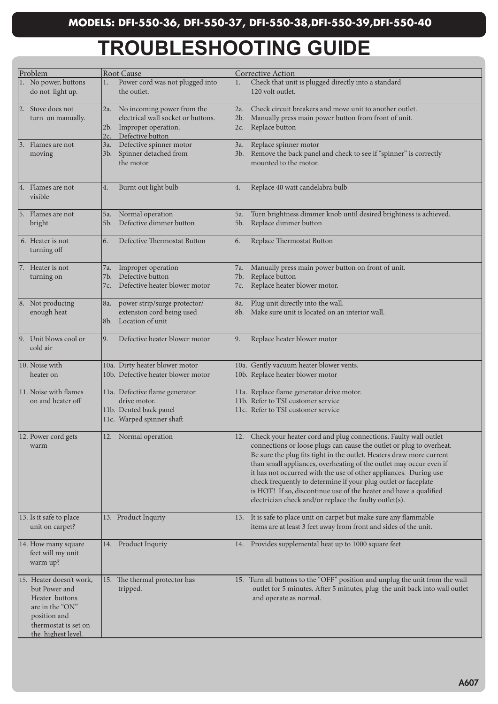# **TROUBLESHOOTING GUIDE**

| Problem                                                                                                                                      | <b>Root Cause</b>                                                                                                       | Corrective Action                                                                                                                                                                                                                                                                                                                                                                                                                                                                                                                                              |
|----------------------------------------------------------------------------------------------------------------------------------------------|-------------------------------------------------------------------------------------------------------------------------|----------------------------------------------------------------------------------------------------------------------------------------------------------------------------------------------------------------------------------------------------------------------------------------------------------------------------------------------------------------------------------------------------------------------------------------------------------------------------------------------------------------------------------------------------------------|
| 1. No power, buttons<br>do not light up.                                                                                                     | Power cord was not plugged into<br>1.<br>the outlet.                                                                    | Check that unit is plugged directly into a standard<br>1.<br>120 volt outlet.                                                                                                                                                                                                                                                                                                                                                                                                                                                                                  |
| 2. Stove does not<br>turn on manually.                                                                                                       | 2a. No incoming power from the<br>electrical wall socket or buttons.<br>2b. Improper operation.<br>2c. Defective button | Check circuit breakers and move unit to another outlet.<br>2a.<br>Manually press main power button from front of unit.<br>2b.<br>Replace button<br>2c.                                                                                                                                                                                                                                                                                                                                                                                                         |
| 3. Flames are not<br>moving                                                                                                                  | 3a. Defective spinner motor<br>3b. Spinner detached from<br>the motor                                                   | Replace spinner motor<br>3a.<br>3b. Remove the back panel and check to see if "spinner" is correctly<br>mounted to the motor.                                                                                                                                                                                                                                                                                                                                                                                                                                  |
| 4. Flames are not<br>visible                                                                                                                 | Burnt out light bulb<br>4.                                                                                              | Replace 40 watt candelabra bulb<br>4.                                                                                                                                                                                                                                                                                                                                                                                                                                                                                                                          |
| 5. Flames are not<br>bright                                                                                                                  | 5a. Normal operation<br>5b. Defective dimmer button                                                                     | 5a. Turn brightness dimmer knob until desired brightness is achieved.<br>5b. Replace dimmer button                                                                                                                                                                                                                                                                                                                                                                                                                                                             |
| 6. Heater is not<br>turning off                                                                                                              | Defective Thermostat Button<br>6.                                                                                       | Replace Thermostat Button<br>6.                                                                                                                                                                                                                                                                                                                                                                                                                                                                                                                                |
| 7. Heater is not<br>turning on                                                                                                               | 7a. Improper operation<br>Defective button<br>7b.<br>Defective heater blower motor<br>7c.                               | Manually press main power button on front of unit.<br>7a.<br>Replace button<br>7b.<br>Replace heater blower motor.<br>7c.                                                                                                                                                                                                                                                                                                                                                                                                                                      |
| 8. Not producing<br>enough heat                                                                                                              | power strip/surge protector/<br>8a.<br>extension cord being used<br>8b. Location of unit                                | 8a. Plug unit directly into the wall.<br>8b. Make sure unit is located on an interior wall.                                                                                                                                                                                                                                                                                                                                                                                                                                                                    |
| 9. Unit blows cool or<br>cold air                                                                                                            | Defective heater blower motor<br>9.                                                                                     | Replace heater blower motor<br>9.                                                                                                                                                                                                                                                                                                                                                                                                                                                                                                                              |
| 10. Noise with<br>heater on                                                                                                                  | 10a. Dirty heater blower motor<br>10b. Defective heater blower motor                                                    | 10a. Gently vacuum heater blower vents.<br>10b. Replace heater blower motor                                                                                                                                                                                                                                                                                                                                                                                                                                                                                    |
| 11. Noise with flames<br>on and heater off                                                                                                   | 11a. Defective flame generator<br>drive motor.<br>11b. Dented back panel<br>11c. Warped spinner shaft                   | 11a. Replace flame generator drive motor.<br>11b. Refer to TSI customer service<br>11c. Refer to TSI customer service                                                                                                                                                                                                                                                                                                                                                                                                                                          |
| 12. Power cord gets<br>warm                                                                                                                  | 12. Normal operation                                                                                                    | 12. Check your heater cord and plug connections. Faulty wall outlet<br>connections or loose plugs can cause the outlet or plug to overheat.<br>Be sure the plug fits tight in the outlet. Heaters draw more current<br>than small appliances, overheating of the outlet may occur even if<br>it has not occurred with the use of other appliances. During use<br>check frequently to determine if your plug outlet or faceplate<br>is HOT! If so, discontinue use of the heater and have a qualified<br>electrician check and/or replace the faulty outlet(s). |
| 13. Is it safe to place<br>unit on carpet?                                                                                                   | 13. Product Inquriy                                                                                                     | It is safe to place unit on carpet but make sure any flammable<br>13.<br>items are at least 3 feet away from front and sides of the unit.                                                                                                                                                                                                                                                                                                                                                                                                                      |
| 14. How many square<br>feet will my unit<br>warm up?                                                                                         | 14. Product Inquriy                                                                                                     | 14. Provides supplemental heat up to 1000 square feet                                                                                                                                                                                                                                                                                                                                                                                                                                                                                                          |
| 15. Heater doesn't work,<br>but Power and<br>Heater buttons<br>are in the "ON"<br>position and<br>thermostat is set on<br>the highest level. | 15. The thermal protector has<br>tripped.                                                                               | 15. Turn all buttons to the "OFF" position and unplug the unit from the wall<br>outlet for 5 minutes. After 5 minutes, plug the unit back into wall outlet<br>and operate as normal.                                                                                                                                                                                                                                                                                                                                                                           |